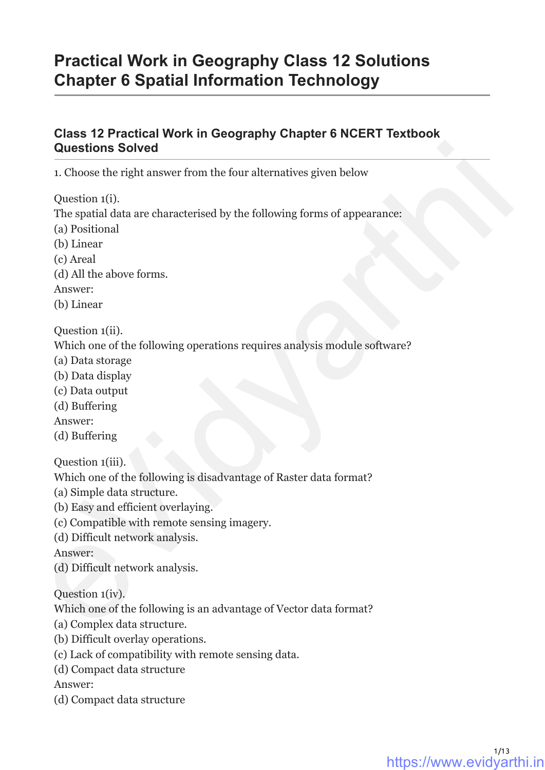# **Practical Work in Geography Class 12 Solutions Chapter 6 Spatial Information Technology**

# **Class 12 Practical Work in Geography Chapter 6 NCERT Textbook Questions Solved Questions Solved**<br>
1. Choose the right answer from the four alternatives given below<br>
Question 1(i).<br>
The spatial data are characterised by the following forms of appearance:<br>
(b) Positional<br>
(c) Areal<br>
(c) Areal<br>
(c) al

1. Choose the right answer from the four alternatives given below

Question 1(i).

The spatial data are characterised by the following forms of appearance:

(a) Positional

(b) Linear

(c) Areal

(d) All the above forms.

Answer:

(b) Linear

Question 1(ii).

Which one of the following operations requires analysis module software?

- (a) Data storage
- (b) Data display
- (c) Data output
- (d) Buffering

Answer:

(d) Buffering

Question 1(iii).

Which one of the following is disadvantage of Raster data format?

- (a) Simple data structure.
- (b) Easy and efficient overlaying.
- (c) Compatible with remote sensing imagery.
- (d) Difficult network analysis.

Answer:

(d) Difficult network analysis.

Question 1(iv).

Which one of the following is an advantage of Vector data format?

- (a) Complex data structure.
- (b) Difficult overlay operations.
- (c) Lack of compatibility with remote sensing data.
- (d) Compact data structure

Answer:

(d) Compact data structure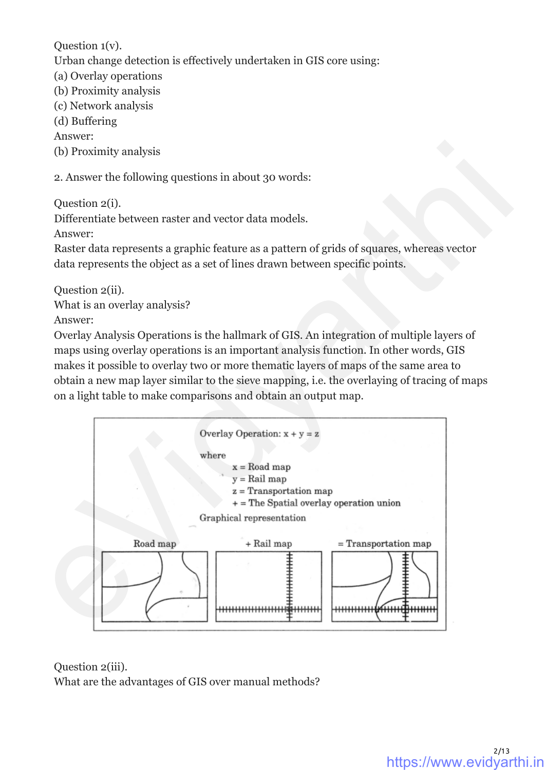Question 1(v). Urban change detection is effectively undertaken in GIS core using: (a) Overlay operations (b) Proximity analysis (c) Network analysis (d) Buffering Answer: (b) Proximity analysis

2. Answer the following questions in about 30 words:

Question 2(i).

Differentiate between raster and vector data models.

Answer:

Raster data represents a graphic feature as a pattern of grids of squares, whereas vector data represents the object as a set of lines drawn between specific points.

Question 2(ii). What is an overlay analysis?

Answer:

Overlay Analysis Operations is the hallmark of GIS. An integration of multiple layers of maps using overlay operations is an important analysis function. In other words, GIS makes it possible to overlay two or more thematic layers of maps of the same area to obtain a new map layer similar to the sieve mapping, i.e. the overlaying of tracing of maps on a light table to make comparisons and obtain an output map.



Question 2(iii). What are the advantages of GIS over manual methods?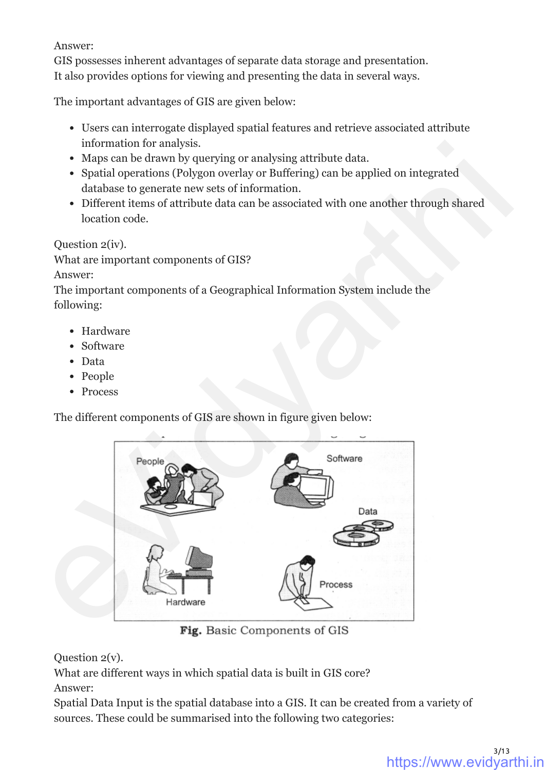### Answer:

GIS possesses inherent advantages of separate data storage and presentation. It also provides options for viewing and presenting the data in several ways.

The important advantages of GIS are given below:

- Users can interrogate displayed spatial features and retrieve associated attribute information for analysis.
- Maps can be drawn by querying or analysing attribute data.
- Spatial operations (Polygon overlay or Buffering) can be applied on integrated database to generate new sets of information.
- Different items of attribute data can be associated with one another through shared location code.

Question 2(iv).

What are important components of GIS?

Answer:

The important components of a Geographical Information System include the following:

- Hardware
- Software
- Data
- People
- Process

The different components of GIS are shown in figure given below:



Question 2(v).

What are different ways in which spatial data is built in GIS core?

Answer:

Spatial Data Input is the spatial database into a GIS. It can be created from a variety of sources. These could be summarised into the following two categories: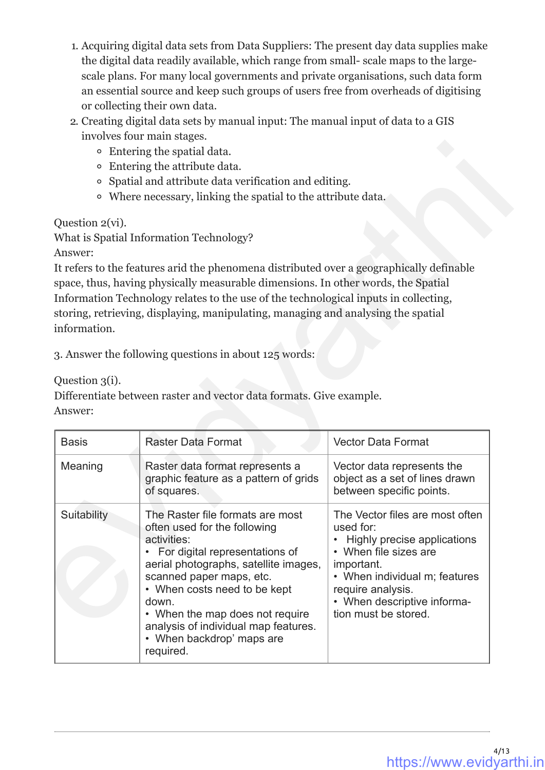- 1. Acquiring digital data sets from Data Suppliers: The present day data supplies make the digital data readily available, which range from small- scale maps to the largescale plans. For many local governments and private organisations, such data form an essential source and keep such groups of users free from overheads of digitising or collecting their own data.
- 2. Creating digital data sets by manual input: The manual input of data to a GIS involves four main stages.
	- Entering the spatial data.
	- Entering the attribute data.
	- Spatial and attribute data verification and editing.
	- Where necessary, linking the spatial to the attribute data.

|                                           | <b>•</b> Entering the spatial data.<br>Entering the attribute data.                      |                                                            |
|-------------------------------------------|------------------------------------------------------------------------------------------|------------------------------------------------------------|
| $\circ$                                   |                                                                                          |                                                            |
| o                                         | Spatial and attribute data verification and editing.                                     |                                                            |
| o                                         | Where necessary, linking the spatial to the attribute data.                              |                                                            |
| Question $2(\nu i)$ .                     |                                                                                          |                                                            |
|                                           | What is Spatial Information Technology?                                                  |                                                            |
| Answer:                                   |                                                                                          |                                                            |
|                                           | It refers to the features arid the phenomena distributed over a geographically definable |                                                            |
|                                           | space, thus, having physically measurable dimensions. In other words, the Spatial        |                                                            |
|                                           | Information Technology relates to the use of the technological inputs in collecting,     |                                                            |
|                                           | storing, retrieving, displaying, manipulating, managing and analysing the spatial        |                                                            |
| information.                              |                                                                                          |                                                            |
|                                           |                                                                                          |                                                            |
|                                           | 3. Answer the following questions in about 125 words:                                    |                                                            |
|                                           | Differentiate between raster and vector data formats. Give example.                      |                                                            |
| Question 3(i).<br>Answer:<br><b>Basis</b> | <b>Raster Data Format</b>                                                                | <b>Vector Data Format</b>                                  |
|                                           |                                                                                          |                                                            |
| Meaning                                   | Raster data format represents a                                                          | Vector data represents the                                 |
|                                           | graphic feature as a pattern of grids<br>of squares.                                     | object as a set of lines drawn<br>between specific points. |
|                                           |                                                                                          |                                                            |
| Suitability                               | The Raster file formats are most                                                         | The Vector files are most often                            |
|                                           | often used for the following<br>activities:                                              | used for:<br>Highly precise applications                   |
|                                           | For digital representations of                                                           | When file sizes are                                        |
|                                           | aerial photographs, satellite images,                                                    | important.                                                 |
|                                           | scanned paper maps, etc.                                                                 | • When individual m; features                              |
|                                           | • When costs need to be kept<br>down.                                                    | require analysis.<br>• When descriptive informa-           |
|                                           | • When the map does not require                                                          | tion must be stored.                                       |
|                                           | analysis of individual map features.                                                     |                                                            |
|                                           | • When backdrop' maps are<br>required.                                                   |                                                            |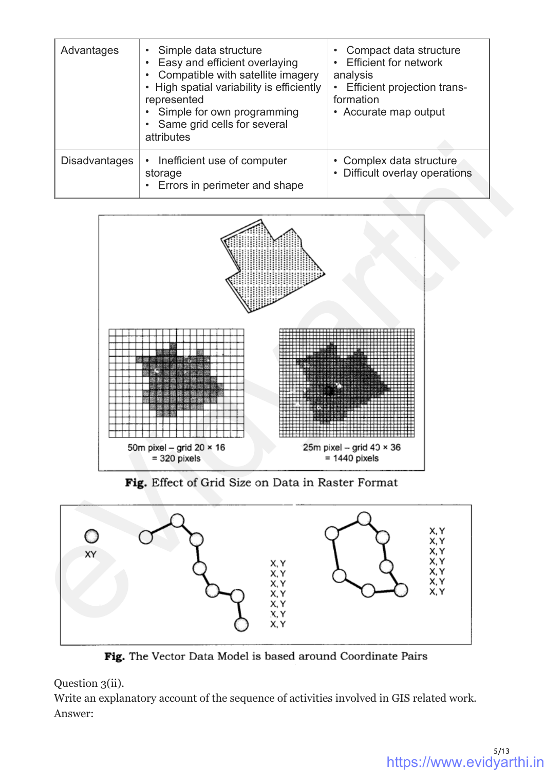| Advantages           | Simple data structure<br>Easy and efficient overlaying<br>Compatible with satellite imagery<br>• High spatial variability is efficiently<br>represented<br>• Simple for own programming<br>• Same grid cells for several<br>attributes | Compact data structure<br>٠<br><b>Efficient for network</b><br>analysis<br><b>Efficient projection trans-</b><br>formation<br>• Accurate map output |
|----------------------|----------------------------------------------------------------------------------------------------------------------------------------------------------------------------------------------------------------------------------------|-----------------------------------------------------------------------------------------------------------------------------------------------------|
| <b>Disadvantages</b> | Inefficient use of computer<br>storage<br>• Errors in perimeter and shape                                                                                                                                                              | • Complex data structure<br>Difficult overlay operations<br>٠                                                                                       |





Fig. The Vector Data Model is based around Coordinate Pairs

### Question 3(ii).

Write an explanatory account of the sequence of activities involved in GIS related work. Answer: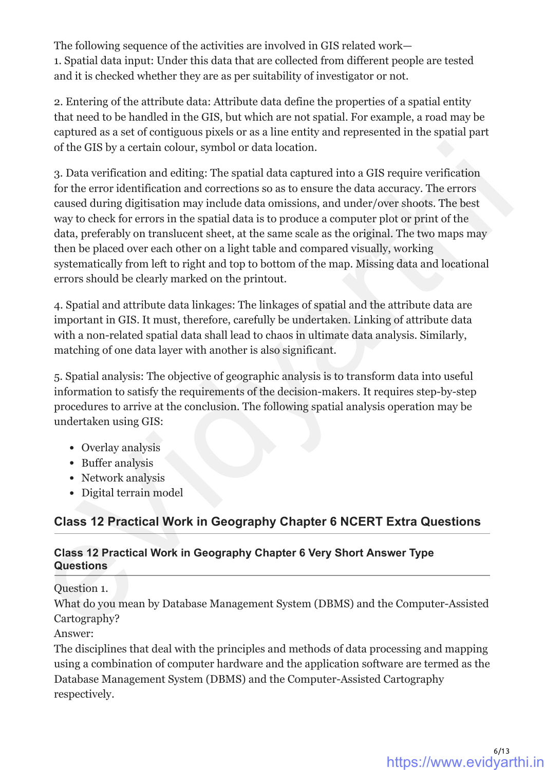The following sequence of the activities are involved in GIS related work— 1. Spatial data input: Under this data that are collected from different people are tested and it is checked whether they are as per suitability of investigator or not.

2. Entering of the attribute data: Attribute data define the properties of a spatial entity that need to be handled in the GIS, but which are not spatial. For example, a road may be captured as a set of contiguous pixels or as a line entity and represented in the spatial part of the GIS by a certain colour, symbol or data location.

3. Data verification and editing: The spatial data captured into a GIS require verification for the error identification and corrections so as to ensure the data accuracy. The errors caused during digitisation may include data omissions, and under/over shoots. The best way to check for errors in the spatial data is to produce a computer plot or print of the data, preferably on translucent sheet, at the same scale as the original. The two maps may then be placed over each other on a light table and compared visually, working systematically from left to right and top to bottom of the map. Missing data and locational errors should be clearly marked on the printout. of the GIS by a certain colour, symbol or data location.<br>
2. Data verification and editing: The spatial data caputured into a GIS require verification<br>
2. Data verification and corrections so as to ensure the data accurac

4. Spatial and attribute data linkages: The linkages of spatial and the attribute data are important in GIS. It must, therefore, carefully be undertaken. Linking of attribute data with a non-related spatial data shall lead to chaos in ultimate data analysis. Similarly, matching of one data layer with another is also significant.

5. Spatial analysis: The objective of geographic analysis is to transform data into useful information to satisfy the requirements of the decision-makers. It requires step-by-step procedures to arrive at the conclusion. The following spatial analysis operation may be undertaken using GIS:

- Overlay analysis
- Buffer analysis
- Network analysis
- Digital terrain model

## **Class 12 Practical Work in Geography Chapter 6 NCERT Extra Questions**

### **Class 12 Practical Work in Geography Chapter 6 Very Short Answer Type Questions**

Question 1.

What do you mean by Database Management System (DBMS) and the Computer-Assisted Cartography?

Answer:

The disciplines that deal with the principles and methods of data processing and mapping using a combination of computer hardware and the application software are termed as the Database Management System (DBMS) and the Computer-Assisted Cartography respectively.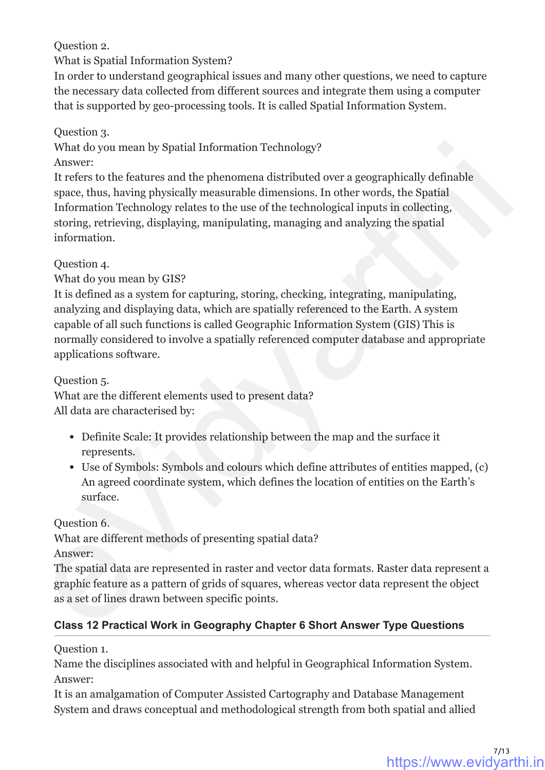### Question 2.

What is Spatial Information System?

In order to understand geographical issues and many other questions, we need to capture the necessary data collected from different sources and integrate them using a computer that is supported by geo-processing tools. It is called Spatial Information System.

### Question 3.

What do you mean by Spatial Information Technology?

Answer:

It refers to the features and the phenomena distributed over a geographically definable space, thus, having physically measurable dimensions. In other words, the Spatial Information Technology relates to the use of the technological inputs in collecting, storing, retrieving, displaying, manipulating, managing and analyzing the spatial information.

### Question 4.

What do you mean by GIS?

It is defined as a system for capturing, storing, checking, integrating, manipulating, analyzing and displaying data, which are spatially referenced to the Earth. A system capable of all such functions is called Geographic Information System (GIS) This is normally considered to involve a spatially referenced computer database and appropriate applications software. What do you mean by Spatial Information Technology?<br>
A result of the Columber of the Columber of the Columber of the Columber of the Columber of the Columber of the Columber of the Columber of the Columber of the Columber

Question 5.

What are the different elements used to present data? All data are characterised by:

- Definite Scale: It provides relationship between the map and the surface it represents.
- Use of Symbols: Symbols and colours which define attributes of entities mapped, (c) An agreed coordinate system, which defines the location of entities on the Earth's surface.

Question 6.

What are different methods of presenting spatial data? Answer:

The spatial data are represented in raster and vector data formats. Raster data represent a graphic feature as a pattern of grids of squares, whereas vector data represent the object as a set of lines drawn between specific points.

### **Class 12 Practical Work in Geography Chapter 6 Short Answer Type Questions**

Question 1.

Name the disciplines associated with and helpful in Geographical Information System. Answer:

It is an amalgamation of Computer Assisted Cartography and Database Management System and draws conceptual and methodological strength from both spatial and allied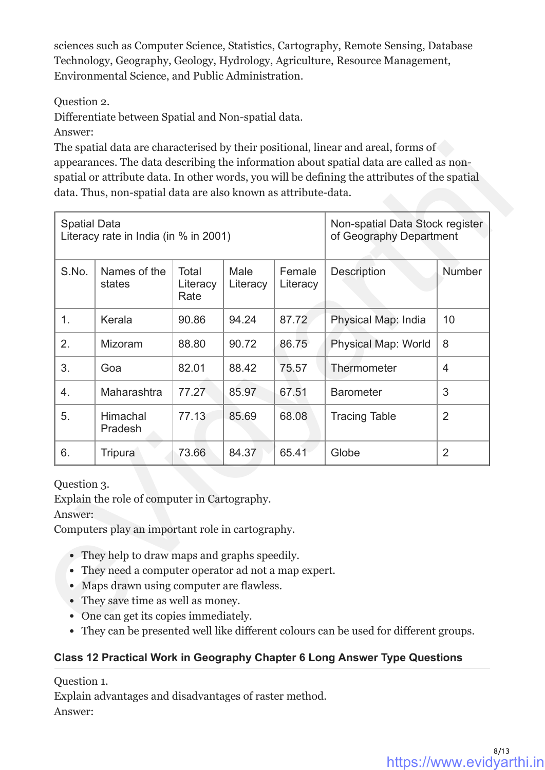sciences such as Computer Science, Statistics, Cartography, Remote Sensing, Database Technology, Geography, Geology, Hydrology, Agriculture, Resource Management, Environmental Science, and Public Administration.

Question 2.

Differentiate between Spatial and Non-spatial data.

Answer:

| <b>Spatial Data</b><br>Literacy rate in India (in % in 2001) |                        |                           |                  | Non-spatial Data Stock register<br>of Geography Department |                      |                |
|--------------------------------------------------------------|------------------------|---------------------------|------------------|------------------------------------------------------------|----------------------|----------------|
| S.No.                                                        | Names of the<br>states | Total<br>Literacy<br>Rate | Male<br>Literacy | Female<br>Literacy                                         | <b>Description</b>   | Number         |
| 1.                                                           | Kerala                 | 90.86                     | 94.24            | 87.72                                                      | Physical Map: India  | 10             |
| 2.                                                           | Mizoram                | 88.80                     | 90.72            | 86.75                                                      | Physical Map: World  | 8              |
| 3.                                                           | Goa                    | 82.01                     | 88.42            | 75.57                                                      | Thermometer          | $\overline{4}$ |
| 4.                                                           | Maharashtra            | 77.27                     | 85.97            | 67.51                                                      | <b>Barometer</b>     | 3              |
| 5.                                                           | Himachal<br>Pradesh    | 77.13                     | 85.69            | 68.08                                                      | <b>Tracing Table</b> | $\overline{2}$ |
| 6.                                                           | <b>Tripura</b>         | 73.66                     | 84.37            | 65.41                                                      | Globe                | $\overline{2}$ |

- They help to draw maps and graphs speedily.
- They need a computer operator ad not a map expert.
- Maps drawn using computer are flawless.
- They save time as well as money.
- One can get its copies immediately.
- They can be presented well like different colours can be used for different groups.

### **Class 12 Practical Work in Geography Chapter 6 Long Answer Type Questions**

Question 1.

Explain advantages and disadvantages of raster method.

Answer: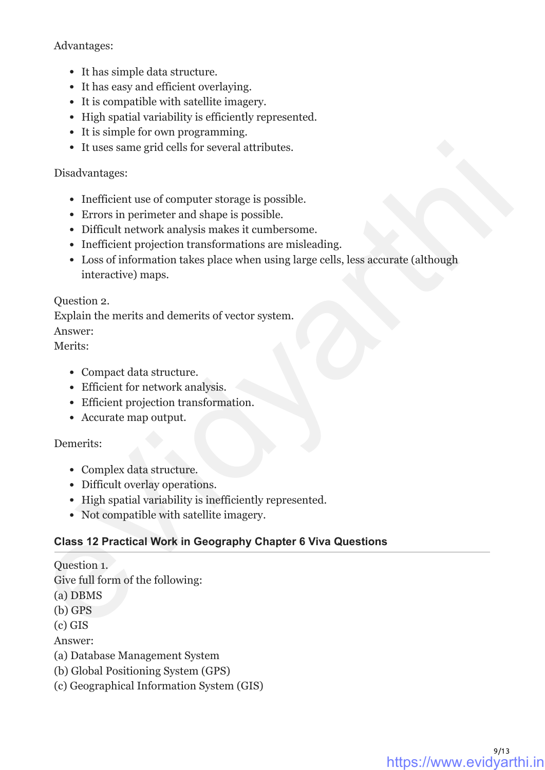### Advantages:

- It has simple data structure.
- It has easy and efficient overlaying.
- It is compatible with satellite imagery.
- High spatial variability is efficiently represented.
- It is simple for own programming.
- It uses same grid cells for several attributes.

### Disadvantages:

- Inefficient use of computer storage is possible.
- Errors in perimeter and shape is possible.
- Difficult network analysis makes it cumbersome.
- Inefficient projection transformations are misleading.
- Loss of information takes place when using large cells, less accurate (although interactive) maps. F uses same grid cells for several attributes.<br>
Disadvantages:<br>
Foreflictent use of computer storage is possible.<br>
Frores in perimeter and shape is possible.<br>
Difficult network analysis makes it cumbersome.<br>
Loss of infor

### Question 2.

Explain the merits and demerits of vector system.

# Answer:

Merits:

- Compact data structure.
- Efficient for network analysis.
- Efficient projection transformation.
- Accurate map output.

### Demerits:

- Complex data structure.
- Difficult overlay operations.
- High spatial variability is inefficiently represented.
- Not compatible with satellite imagery.

### **Class 12 Practical Work in Geography Chapter 6 Viva Questions**

Question 1.

Give full form of the following:

- (a) DBMS
- (b) GPS
- (c) GIS

Answer:

- (a) Database Management System
- (b) Global Positioning System (GPS)
- (c) Geographical Information System (GIS)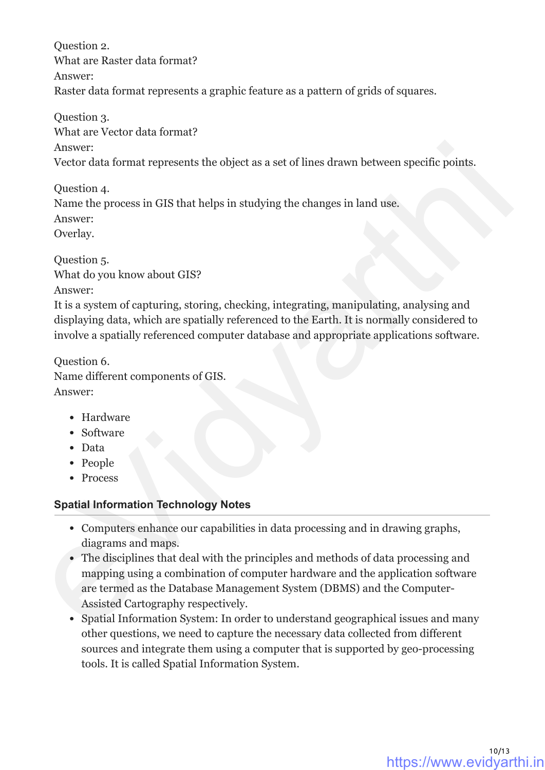Question 2. What are Raster data format? Answer: Raster data format represents a graphic feature as a pattern of grids of squares.

Question 3. What are Vector data format? Answer: Vector data format represents the object as a set of lines drawn between specific points.

Question 4. Name the process in GIS that helps in studying the changes in land use. Answer: Overlay.

Question 5. What do you know about GIS? Answer:

It is a system of capturing, storing, checking, integrating, manipulating, analysing and displaying data, which are spatially referenced to the Earth. It is normally considered to involve a spatially referenced computer database and appropriate applications software.

Question 6. Name different components of GIS. Answer:

- Hardware
- Software
- Data
- People
- Process

### **Spatial Information Technology Notes**

- Computers enhance our capabilities in data processing and in drawing graphs, diagrams and maps.
- The disciplines that deal with the principles and methods of data processing and mapping using a combination of computer hardware and the application software are termed as the Database Management System (DBMS) and the Computer-Assisted Cartography respectively. Answer:<br>
Vertor data format represents the object as a set of lines drawn between specific points.<br>
Question 4.<br>
Name the process in GIS that helps in studying the changes in land use.<br>
Answer:<br>
Question 5.<br>
Werlat do you
	- Spatial Information System: In order to understand geographical issues and many other questions, we need to capture the necessary data collected from different sources and integrate them using a computer that is supported by geo-processing tools. It is called Spatial Information System.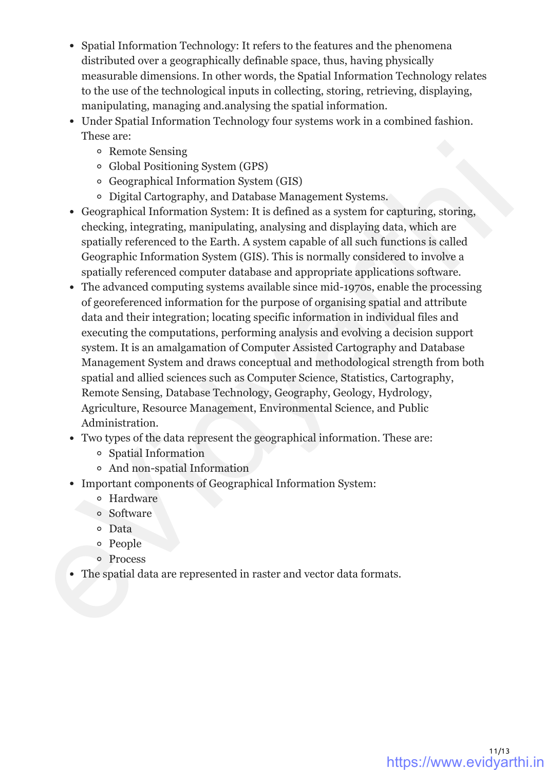- Spatial Information Technology: It refers to the features and the phenomena distributed over a geographically definable space, thus, having physically measurable dimensions. In other words, the Spatial Information Technology relates to the use of the technological inputs in collecting, storing, retrieving, displaying, manipulating, managing and.analysing the spatial information.
- Under Spatial Information Technology four systems work in a combined fashion. These are:
	- Remote Sensing
	- Global Positioning System (GPS)
	- Geographical Information System (GIS)
	- Digital Cartography, and Database Management Systems.
- Geographical Information System: It is defined as a system for capturing, storing, checking, integrating, manipulating, analysing and displaying data, which are spatially referenced to the Earth. A system capable of all such functions is called Geographic Information System (GIS). This is normally considered to involve a spatially referenced computer database and appropriate applications software.
- The advanced computing systems available since mid-1970s, enable the processing of georeferenced information for the purpose of organising spatial and attribute data and their integration; locating specific information in individual files and executing the computations, performing analysis and evolving a decision support system. It is an amalgamation of Computer Assisted Cartography and Database Management System and draws conceptual and methodological strength from both spatial and allied sciences such as Computer Science, Statistics, Cartography, Remote Sensing, Database Technology, Geography, Geology, Hydrology, Agriculture, Resource Management, Environmental Science, and Public Administration. e Remote Sensing (GPS)<br>
c Global Positioning System (GPS)<br>
c Gloographical Information System (GBS)<br>
o Geographical Carography, and Database Management Systems.<br>
coregraphical Toforention System Tt is defined as a system
	- Two types of the data represent the geographical information. These are:
		- Spatial Information
		- And non-spatial Information
	- Important components of Geographical Information System:
		- Hardware
		- Software
		- Data
		- People
		- Process
	- The spatial data are represented in raster and vector data formats.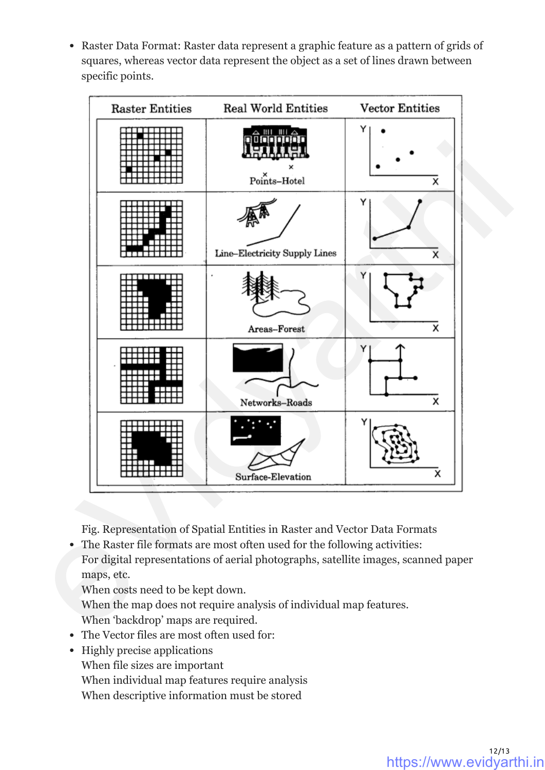Raster Data Format: Raster data represent a graphic feature as a pattern of grids of squares, whereas vector data represent the object as a set of lines drawn between specific points.

| <b>Raster Entities</b> | <b>Real World Entities</b>    | <b>Vector Entities</b><br>Y |  |
|------------------------|-------------------------------|-----------------------------|--|
|                        | Points-Hotel                  | Х                           |  |
|                        | Line-Electricity Supply Lines | Y<br>X                      |  |
|                        | Areas-Forest                  | x                           |  |
|                        | Networks-Roads                | x                           |  |
|                        | Surface-Elevation             | x                           |  |

- When the map does not require analysis of individual map features. When 'backdrop' maps are required.
- The Vector files are most often used for:
- Highly precise applications When file sizes are important When individual map features require analysis When descriptive information must be stored